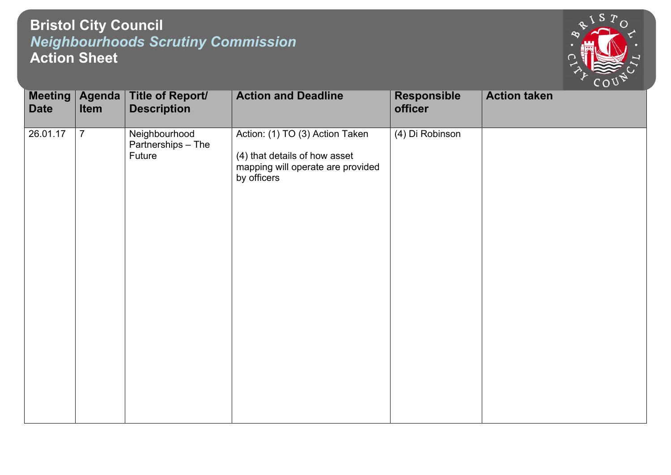## **Bristol City Council** *Neighbourhoods Scrutiny Commission* **Action Sheet**



| <b>Meeting</b><br><b>Date</b> | Agenda  <br>Item | <b>Title of Report/</b><br><b>Description</b> | <b>Action and Deadline</b>                                                                                           | <b>Responsible</b><br>officer | <b>Action taken</b> |
|-------------------------------|------------------|-----------------------------------------------|----------------------------------------------------------------------------------------------------------------------|-------------------------------|---------------------|
| 26.01.17                      | $\overline{7}$   | Neighbourhood<br>Partnerships - The<br>Future | Action: (1) TO (3) Action Taken<br>(4) that details of how asset<br>mapping will operate are provided<br>by officers | (4) Di Robinson               |                     |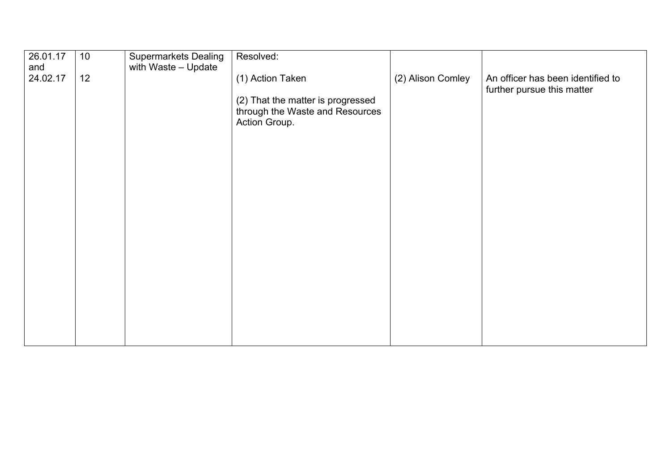| 26.01.17<br>and | 10 <sup>°</sup> | <b>Supermarkets Dealing</b><br>with Waste - Update | Resolved:                                                                             |                   |                                                                 |
|-----------------|-----------------|----------------------------------------------------|---------------------------------------------------------------------------------------|-------------------|-----------------------------------------------------------------|
| 24.02.17        | 12              |                                                    | (1) Action Taken                                                                      | (2) Alison Comley | An officer has been identified to<br>further pursue this matter |
|                 |                 |                                                    | (2) That the matter is progressed<br>through the Waste and Resources<br>Action Group. |                   |                                                                 |
|                 |                 |                                                    |                                                                                       |                   |                                                                 |
|                 |                 |                                                    |                                                                                       |                   |                                                                 |
|                 |                 |                                                    |                                                                                       |                   |                                                                 |
|                 |                 |                                                    |                                                                                       |                   |                                                                 |
|                 |                 |                                                    |                                                                                       |                   |                                                                 |
|                 |                 |                                                    |                                                                                       |                   |                                                                 |
|                 |                 |                                                    |                                                                                       |                   |                                                                 |
|                 |                 |                                                    |                                                                                       |                   |                                                                 |
|                 |                 |                                                    |                                                                                       |                   |                                                                 |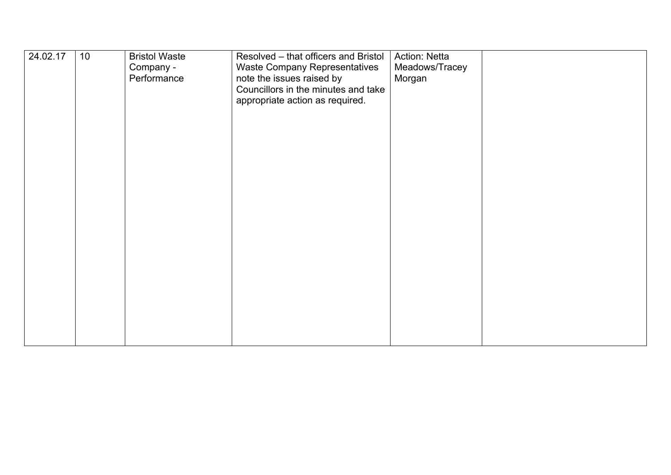| 24.02.17 | 10 | <b>Bristol Waste</b><br>Company -<br>Performance | Resolved - that officers and Bristol<br>Waste Company Representatives<br>note the issues raised by<br>Councillors in the minutes and take<br>appropriate action as required. | Action: Netta<br>Meadows/Tracey<br>Morgan |  |
|----------|----|--------------------------------------------------|------------------------------------------------------------------------------------------------------------------------------------------------------------------------------|-------------------------------------------|--|
|          |    |                                                  |                                                                                                                                                                              |                                           |  |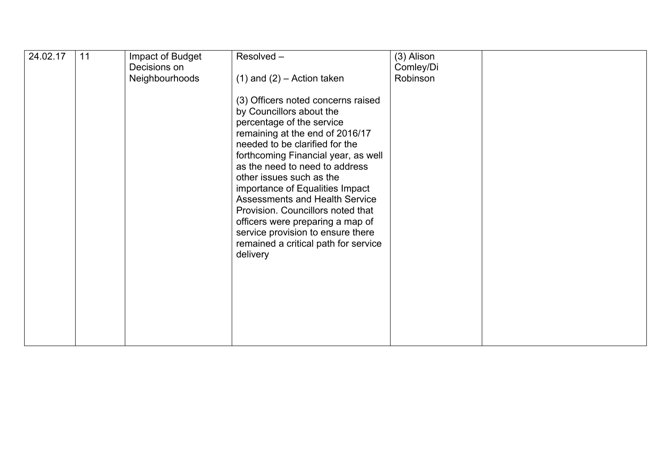| 24.02.17 | 11 | Impact of Budget | Resolved-                             | (3) Alison |  |
|----------|----|------------------|---------------------------------------|------------|--|
|          |    | Decisions on     |                                       | Comley/Di  |  |
|          |    | Neighbourhoods   |                                       | Robinson   |  |
|          |    |                  | $(1)$ and $(2)$ – Action taken        |            |  |
|          |    |                  |                                       |            |  |
|          |    |                  | (3) Officers noted concerns raised    |            |  |
|          |    |                  | by Councillors about the              |            |  |
|          |    |                  |                                       |            |  |
|          |    |                  | percentage of the service             |            |  |
|          |    |                  | remaining at the end of 2016/17       |            |  |
|          |    |                  | needed to be clarified for the        |            |  |
|          |    |                  | forthcoming Financial year, as well   |            |  |
|          |    |                  |                                       |            |  |
|          |    |                  | as the need to need to address        |            |  |
|          |    |                  | other issues such as the              |            |  |
|          |    |                  | importance of Equalities Impact       |            |  |
|          |    |                  |                                       |            |  |
|          |    |                  | <b>Assessments and Health Service</b> |            |  |
|          |    |                  | Provision. Councillors noted that     |            |  |
|          |    |                  | officers were preparing a map of      |            |  |
|          |    |                  | service provision to ensure there     |            |  |
|          |    |                  |                                       |            |  |
|          |    |                  | remained a critical path for service  |            |  |
|          |    |                  | delivery                              |            |  |
|          |    |                  |                                       |            |  |
|          |    |                  |                                       |            |  |
|          |    |                  |                                       |            |  |
|          |    |                  |                                       |            |  |
|          |    |                  |                                       |            |  |
|          |    |                  |                                       |            |  |
|          |    |                  |                                       |            |  |
|          |    |                  |                                       |            |  |
|          |    |                  |                                       |            |  |
|          |    |                  |                                       |            |  |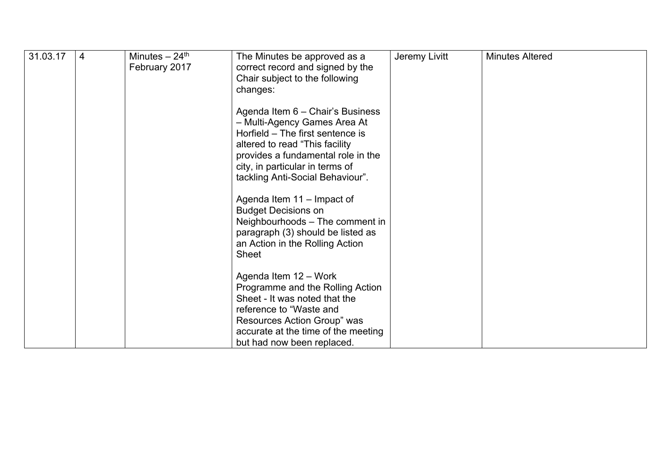| 31.03.17 | 4 | Minutes $-24$ <sup>th</sup><br>February 2017 | The Minutes be approved as a<br>correct record and signed by the<br>Chair subject to the following<br>changes:                                                                                                            | Jeremy Livitt | <b>Minutes Altered</b> |
|----------|---|----------------------------------------------|---------------------------------------------------------------------------------------------------------------------------------------------------------------------------------------------------------------------------|---------------|------------------------|
|          |   |                                              | Agenda Item 6 - Chair's Business<br>- Multi-Agency Games Area At<br>Horfield - The first sentence is<br>altered to read "This facility                                                                                    |               |                        |
|          |   |                                              | provides a fundamental role in the<br>city, in particular in terms of<br>tackling Anti-Social Behaviour".                                                                                                                 |               |                        |
|          |   |                                              | Agenda Item 11 - Impact of<br><b>Budget Decisions on</b><br>Neighbourhoods - The comment in<br>paragraph (3) should be listed as<br>an Action in the Rolling Action<br>Sheet                                              |               |                        |
|          |   |                                              | Agenda Item 12 - Work<br>Programme and the Rolling Action<br>Sheet - It was noted that the<br>reference to "Waste and<br>Resources Action Group" was<br>accurate at the time of the meeting<br>but had now been replaced. |               |                        |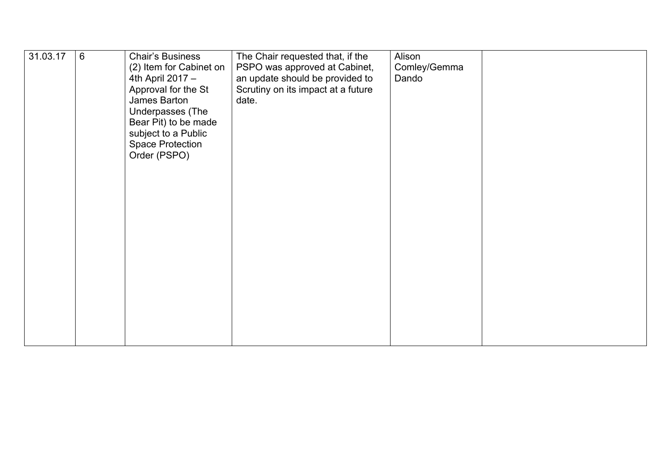| 31.03.17 | 6 | <b>Chair's Business</b><br>(2) Item for Cabinet on<br>4th April 2017 -<br>Approval for the St<br>James Barton<br>Underpasses (The<br>Bear Pit) to be made<br>subject to a Public<br><b>Space Protection</b><br>Order (PSPO) | The Chair requested that, if the<br>PSPO was approved at Cabinet,<br>an update should be provided to<br>Scrutiny on its impact at a future<br>date. | Alison<br>Comley/Gemma<br>Dando |  |
|----------|---|-----------------------------------------------------------------------------------------------------------------------------------------------------------------------------------------------------------------------------|-----------------------------------------------------------------------------------------------------------------------------------------------------|---------------------------------|--|
|----------|---|-----------------------------------------------------------------------------------------------------------------------------------------------------------------------------------------------------------------------------|-----------------------------------------------------------------------------------------------------------------------------------------------------|---------------------------------|--|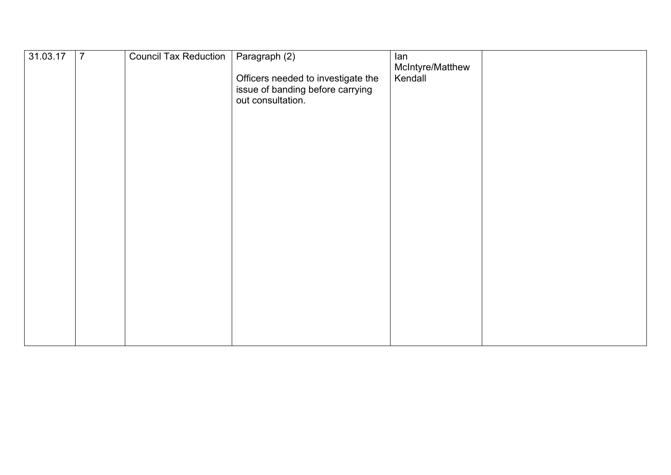| 31.03.17 | $\overline{7}$ | Council Tax Reduction | Paragraph (2)                                                                               | lan<br>McIntyre/Matthew |
|----------|----------------|-----------------------|---------------------------------------------------------------------------------------------|-------------------------|
|          |                |                       | Officers needed to investigate the<br>issue of banding before carrying<br>out consultation. | Kendall                 |
|          |                |                       |                                                                                             |                         |
|          |                |                       |                                                                                             |                         |
|          |                |                       |                                                                                             |                         |
|          |                |                       |                                                                                             |                         |
|          |                |                       |                                                                                             |                         |
|          |                |                       |                                                                                             |                         |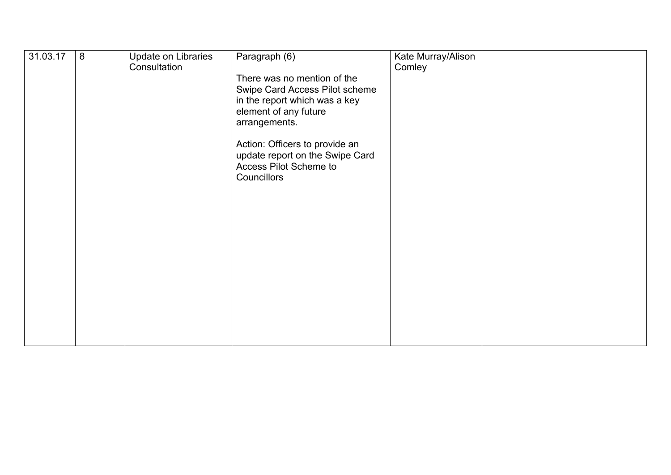| 31.03.17 | 8 | Update on Libraries<br>Consultation | Paragraph (6)<br>There was no mention of the<br>Swipe Card Access Pilot scheme<br>in the report which was a key<br>element of any future<br>arrangements.<br>Action: Officers to provide an<br>update report on the Swipe Card<br>Access Pilot Scheme to<br>Councillors | Kate Murray/Alison<br>Comley |  |
|----------|---|-------------------------------------|-------------------------------------------------------------------------------------------------------------------------------------------------------------------------------------------------------------------------------------------------------------------------|------------------------------|--|
|          |   |                                     |                                                                                                                                                                                                                                                                         |                              |  |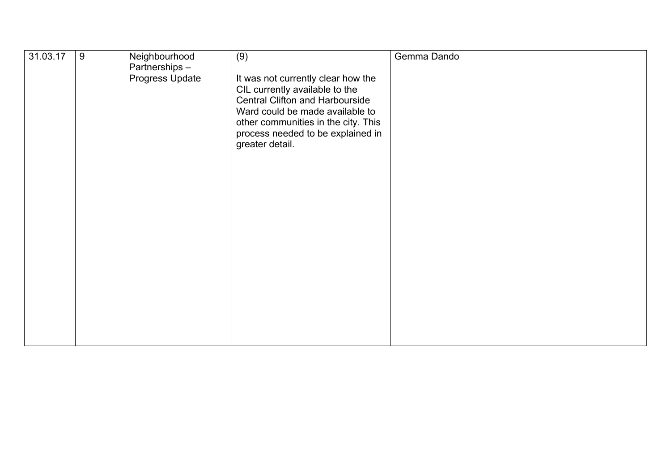| 31.03.17 | 9 | Neighbourhood                    | (9)                                                                                                                                                                                                                                       | Gemma Dando |  |
|----------|---|----------------------------------|-------------------------------------------------------------------------------------------------------------------------------------------------------------------------------------------------------------------------------------------|-------------|--|
|          |   | Partnerships-<br>Progress Update | It was not currently clear how the<br>CIL currently available to the<br>Central Clifton and Harbourside<br>Ward could be made available to<br>other communities in the city. This<br>process needed to be explained in<br>greater detail. |             |  |
|          |   |                                  |                                                                                                                                                                                                                                           |             |  |
|          |   |                                  |                                                                                                                                                                                                                                           |             |  |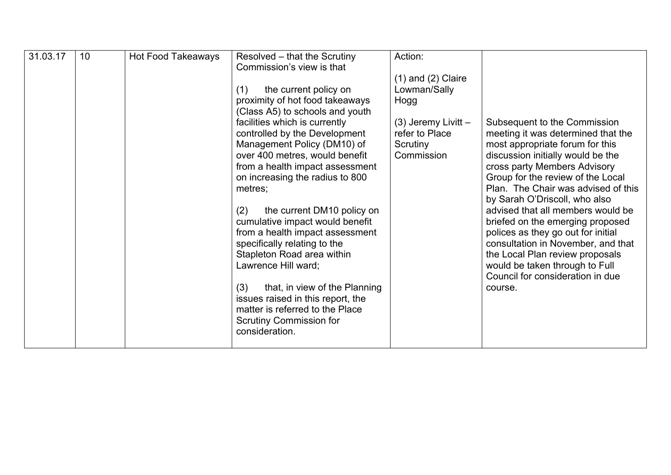| 31.03.17 | 10 | <b>Hot Food Takeaways</b> | Resolved – that the Scrutiny<br>Commission's view is that<br>the current policy on<br>(1)<br>proximity of hot food takeaways<br>(Class A5) to schools and youth<br>facilities which is currently<br>controlled by the Development<br>Management Policy (DM10) of<br>over 400 metres, would benefit<br>from a health impact assessment                                                                          | Action:<br>$(1)$ and $(2)$ Claire<br>Lowman/Sally<br>Hogg<br>(3) Jeremy Livitt -<br>refer to Place<br>Scrutiny<br>Commission | Subsequent to the Commission<br>meeting it was determined that the<br>most appropriate forum for this<br>discussion initially would be the<br>cross party Members Advisory                                                                                                                                                                                                         |
|----------|----|---------------------------|----------------------------------------------------------------------------------------------------------------------------------------------------------------------------------------------------------------------------------------------------------------------------------------------------------------------------------------------------------------------------------------------------------------|------------------------------------------------------------------------------------------------------------------------------|------------------------------------------------------------------------------------------------------------------------------------------------------------------------------------------------------------------------------------------------------------------------------------------------------------------------------------------------------------------------------------|
|          |    |                           | on increasing the radius to 800<br>metres;<br>the current DM10 policy on<br>(2)<br>cumulative impact would benefit<br>from a health impact assessment<br>specifically relating to the<br>Stapleton Road area within<br>Lawrence Hill ward;<br>that, in view of the Planning<br>(3)<br>issues raised in this report, the<br>matter is referred to the Place<br><b>Scrutiny Commission for</b><br>consideration. |                                                                                                                              | Group for the review of the Local<br>Plan. The Chair was advised of this<br>by Sarah O'Driscoll, who also<br>advised that all members would be<br>briefed on the emerging proposed<br>polices as they go out for initial<br>consultation in November, and that<br>the Local Plan review proposals<br>would be taken through to Full<br>Council for consideration in due<br>course. |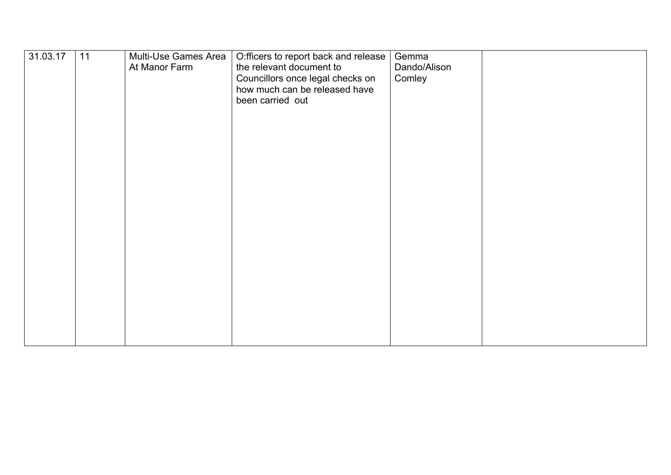| 31.03.17 | 11 | Multi-Use Games Area<br>At Manor Farm | O:fficers to report back and release<br>the relevant document to<br>Councillors once legal checks on<br>how much can be released have<br>been carried out | Gemma<br>Dando/Alison<br>Comley |  |
|----------|----|---------------------------------------|-----------------------------------------------------------------------------------------------------------------------------------------------------------|---------------------------------|--|
|          |    |                                       |                                                                                                                                                           |                                 |  |
|          |    |                                       |                                                                                                                                                           |                                 |  |
|          |    |                                       |                                                                                                                                                           |                                 |  |
|          |    |                                       |                                                                                                                                                           |                                 |  |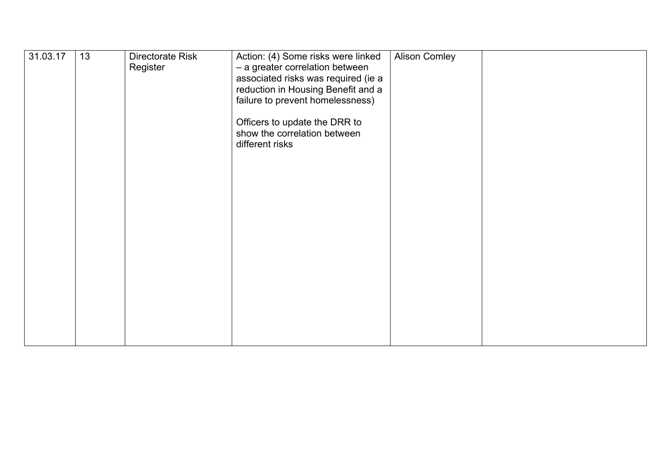| 31.03.17 | 13 | Directorate Risk<br>Register | Action: (4) Some risks were linked<br>- a greater correlation between<br>associated risks was required (ie a<br>reduction in Housing Benefit and a<br>failure to prevent homelessness)<br>Officers to update the DRR to<br>show the correlation between<br>different risks | <b>Alison Comley</b> |  |
|----------|----|------------------------------|----------------------------------------------------------------------------------------------------------------------------------------------------------------------------------------------------------------------------------------------------------------------------|----------------------|--|
|          |    |                              |                                                                                                                                                                                                                                                                            |                      |  |